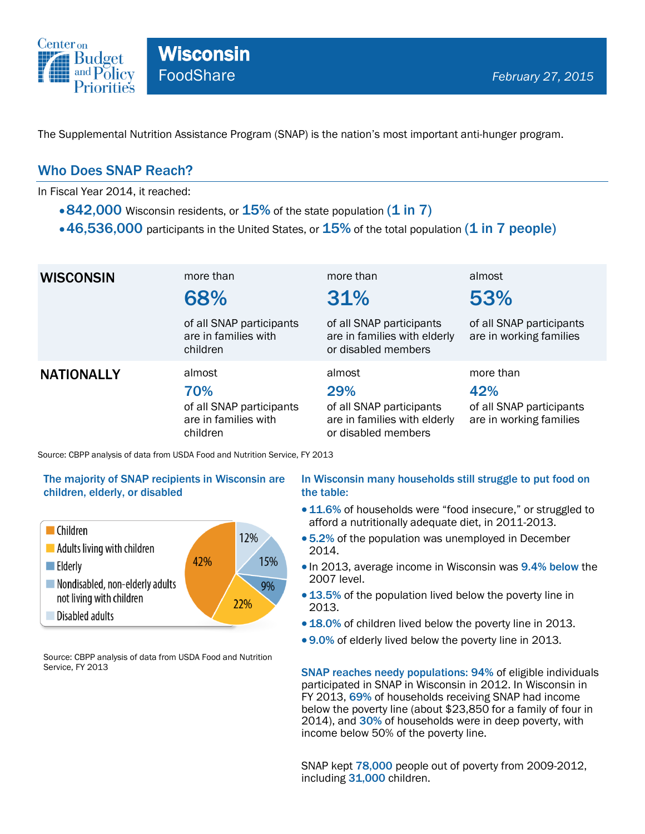

The Supplemental Nutrition Assistance Program (SNAP) is the nation's most important anti-hunger program.

## Who Does SNAP Reach?

In Fiscal Year 2014, it reached:

- $\cdot$  842,000 Wisconsin residents, or  $15\%$  of the state population (1 in 7)
- $\cdot$  46,536,000 participants in the United States, or  $15\%$  of the total population (1 in 7 people)

| <b>WISCONSIN</b>  | more than<br>68%                                                              | more than<br>31%                                                                                 | almost<br>53%                                                           |
|-------------------|-------------------------------------------------------------------------------|--------------------------------------------------------------------------------------------------|-------------------------------------------------------------------------|
|                   | of all SNAP participants<br>are in families with<br>children                  | of all SNAP participants<br>are in families with elderly<br>or disabled members                  | of all SNAP participants<br>are in working families                     |
| <b>NATIONALLY</b> | almost<br>70%<br>of all SNAP participants<br>are in families with<br>children | almost<br>29%<br>of all SNAP participants<br>are in families with elderly<br>or disabled members | more than<br>42%<br>of all SNAP participants<br>are in working families |

Source: CBPP analysis of data from USDA Food and Nutrition Service, FY 2013

#### The majority of SNAP recipients in Wisconsin are children, elderly, or disabled



Source: CBPP analysis of data from USDA Food and Nutrition Service, FY 2013

#### In Wisconsin many households still struggle to put food on the table:

- 11.6% of households were "food insecure," or struggled to afford a nutritionally adequate diet, in 2011-2013.
- 5.2% of the population was unemployed in December 2014.
- In 2013, average income in Wisconsin was 9.4% below the 2007 level.
- 13.5% of the population lived below the poverty line in 2013.
- 18.0% of children lived below the poverty line in 2013.
- 9.0% of elderly lived below the poverty line in 2013.

SNAP reaches needy populations: 94% of eligible individuals participated in SNAP in Wisconsin in 2012. In Wisconsin in FY 2013, 69% of households receiving SNAP had income below the poverty line (about \$23,850 for a family of four in 2014), and 30% of households were in deep poverty, with income below 50% of the poverty line.

SNAP kept 78,000 people out of poverty from 2009-2012, including 31,000 children.